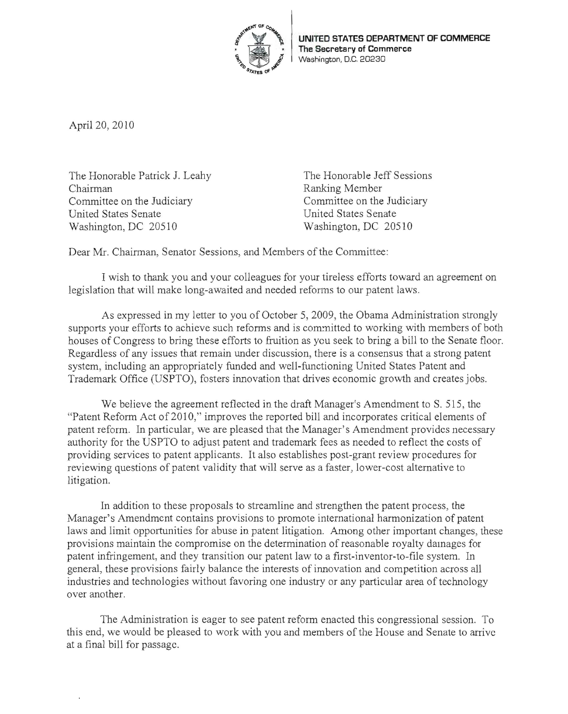

April 20, 2010

The Honorable Patrick J. Leahy The Honorable Jeff Sessions Chairman Ranking Member Committee on the Judiciary Committee on the Judiciary United States Senate United States Senate Washington, DC 20510 Washington, DC 20510

Dear Mr. Chairman, Senator Sessions, and Members of the Committee:

I wish to thank you and your colleagues for your tireless efforts toward an agreement on legislation that will make long-awaited and needed reforms to our patent laws.

As expressed in my letter to you of October 5, 2009, the Obama Administration strongly supports your efforts to achieve such reforms and is committed to working with members of both houses of Congress to bring these efforts to fruition as yeu seek to bring a bill to the Senate floor. Regardless of any issues that remain under discussion, there is a consensus that a strong patent system, including an appropriately funded and well-functioning United States Patent and Trademark Office (USPTO), fosters innovation that drives economic growth and creates jobs.

We believe the agreement reflected in the draft Manager's Amendment to S. SIS, the "Patent Reform Act of 2010," improves the reported bill and incorporates critical elements of patent reform. In particular, we are pleased that the Manager's Amendment provides necessary authority for the USPTO to adjust patent and trademark fees as needed to reflect the costs of providing services to patent applicants. It also establishes post-grant review procedures for reviewing questions of patent validity that will serve as a faster, lower-cost alternative to litigation.

In addition to these proposals to streamline and strengthen the patent process, the Manager's Amendment contains provisions to promote international harmonization of patent laws and limit opportunities for abuse in patent litigation. Among other important changes, these provisions maintain the compromise on the determination of reasonable royalty damages for patent infringement, and they transition our patent law to a first-inventor-to-file system. In general, these provisions fairly balance the interests of innovation and competition across all industries and technologies without favoring one industry or any particular area of technology over another.

The Administration is eager to see patent reform enacted this congressional session. To this end, we would be pleased to work with you and members of the House and Senate to arrive at a final bill for passage.